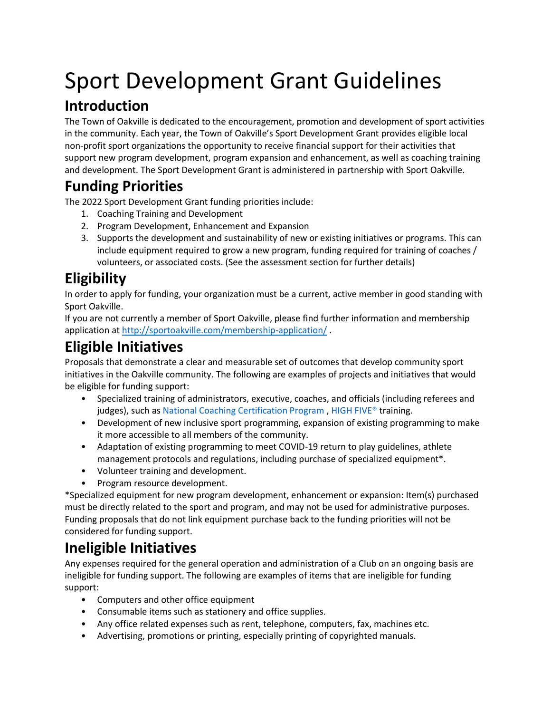# Sport Development Grant Guidelines

### **Introduction**

The Town of Oakville is dedicated to the encouragement, promotion and development of sport activities in the community. Each year, the Town of Oakville's Sport Development Grant provides eligible local non-profit sport organizations the opportunity to receive financial support for their activities that support new program development, program expansion and enhancement, as well as coaching training and development. The Sport Development Grant is administered in partnership with Sport Oakville.

## **Funding Priorities**

The 2022 Sport Development Grant funding priorities include:

- 1. Coaching Training and Development
- 2. Program Development, Enhancement and Expansion
- 3. Supports the development and sustainability of new or existing initiatives or programs. This can include equipment required to grow a new program, funding required for training of coaches / volunteers, or associated costs. (See the assessment section for further details)

## **Eligibility**

In order to apply for funding, your organization must be a current, active member in good standing with Sport Oakville.

If you are not currently a member of Sport Oakville, please find further information and membership application a[t http://sportoakville.com/membership-application/](http://sportoakville.com/membership-application/).

## **Eligible Initiatives**

Proposals that demonstrate a clear and measurable set of outcomes that develop community sport initiatives in the Oakville community. The following are examples of projects and initiatives that would be eligible for funding support:

- Specialized training of administrators, executive, coaches, and officials (including referees and judges), such as National Coaching Certification Program, HIGH FIVE® training.
- Development of new inclusive sport programming, expansion of existing programming to make it more accessible to all members of the community.
- Adaptation of existing programming to meet COVID-19 return to play guidelines, athlete management protocols and regulations, including purchase of specialized equipment\*.
- Volunteer training and development.
- Program resource development.

\*Specialized equipment for new program development, enhancement or expansion: Item(s) purchased must be directly related to the sport and program, and may not be used for administrative purposes. Funding proposals that do not link equipment purchase back to the funding priorities will not be considered for funding support.

## **Ineligible Initiatives**

Any expenses required for the general operation and administration of a Club on an ongoing basis are ineligible for funding support. The following are examples of items that are ineligible for funding support:

- Computers and other office equipment
- Consumable items such as stationery and office supplies.
- Any office related expenses such as rent, telephone, computers, fax, machines etc.
- Advertising, promotions or printing, especially printing of copyrighted manuals.